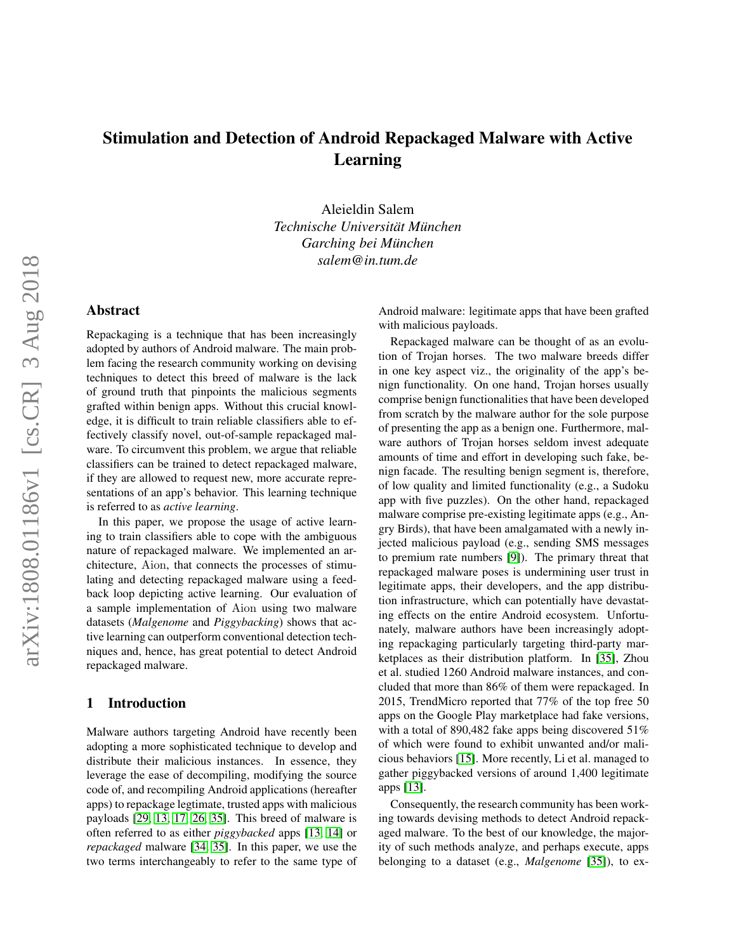# Stimulation and Detection of Android Repackaged Malware with Active Learning

Aleieldin Salem *Technische Universitat M¨ unchen ¨ Garching bei Munchen ¨ salem@in.tum.de*

# Abstract

Repackaging is a technique that has been increasingly adopted by authors of Android malware. The main problem facing the research community working on devising techniques to detect this breed of malware is the lack of ground truth that pinpoints the malicious segments grafted within benign apps. Without this crucial knowledge, it is difficult to train reliable classifiers able to effectively classify novel, out-of-sample repackaged malware. To circumvent this problem, we argue that reliable classifiers can be trained to detect repackaged malware, if they are allowed to request new, more accurate representations of an app's behavior. This learning technique is referred to as *active learning*.

In this paper, we propose the usage of active learning to train classifiers able to cope with the ambiguous nature of repackaged malware. We implemented an architecture, Aion, that connects the processes of stimulating and detecting repackaged malware using a feedback loop depicting active learning. Our evaluation of a sample implementation of Aion using two malware datasets (*Malgenome* and *Piggybacking*) shows that active learning can outperform conventional detection techniques and, hence, has great potential to detect Android repackaged malware.

# <span id="page-0-0"></span>1 Introduction

Malware authors targeting Android have recently been adopting a more sophisticated technique to develop and distribute their malicious instances. In essence, they leverage the ease of decompiling, modifying the source code of, and recompiling Android applications (hereafter apps) to repackage legtimate, trusted apps with malicious payloads [\[29,](#page-13-0) [13,](#page-13-1) [17,](#page-13-2) [26,](#page-13-3) [35\]](#page-13-4). This breed of malware is often referred to as either *piggybacked* apps [\[13,](#page-13-1) [14\]](#page-13-5) or *repackaged* malware [\[34,](#page-13-6) [35\]](#page-13-4). In this paper, we use the two terms interchangeably to refer to the same type of Android malware: legitimate apps that have been grafted with malicious payloads.

Repackaged malware can be thought of as an evolution of Trojan horses. The two malware breeds differ in one key aspect viz., the originality of the app's benign functionality. On one hand, Trojan horses usually comprise benign functionalities that have been developed from scratch by the malware author for the sole purpose of presenting the app as a benign one. Furthermore, malware authors of Trojan horses seldom invest adequate amounts of time and effort in developing such fake, benign facade. The resulting benign segment is, therefore, of low quality and limited functionality (e.g., a Sudoku app with five puzzles). On the other hand, repackaged malware comprise pre-existing legitimate apps (e.g., Angry Birds), that have been amalgamated with a newly injected malicious payload (e.g., sending SMS messages to premium rate numbers [\[9\]](#page-13-7)). The primary threat that repackaged malware poses is undermining user trust in legitimate apps, their developers, and the app distribution infrastructure, which can potentially have devastating effects on the entire Android ecosystem. Unfortunately, malware authors have been increasingly adopting repackaging particularly targeting third-party marketplaces as their distribution platform. In [\[35\]](#page-13-4), Zhou et al. studied 1260 Android malware instances, and concluded that more than 86% of them were repackaged. In 2015, TrendMicro reported that 77% of the top free 50 apps on the Google Play marketplace had fake versions, with a total of 890,482 fake apps being discovered 51% of which were found to exhibit unwanted and/or malicious behaviors [\[15\]](#page-13-8). More recently, Li et al. managed to gather piggybacked versions of around 1,400 legitimate apps [\[13\]](#page-13-1).

Consequently, the research community has been working towards devising methods to detect Android repackaged malware. To the best of our knowledge, the majority of such methods analyze, and perhaps execute, apps belonging to a dataset (e.g., *Malgenome* [\[35\]](#page-13-4)), to ex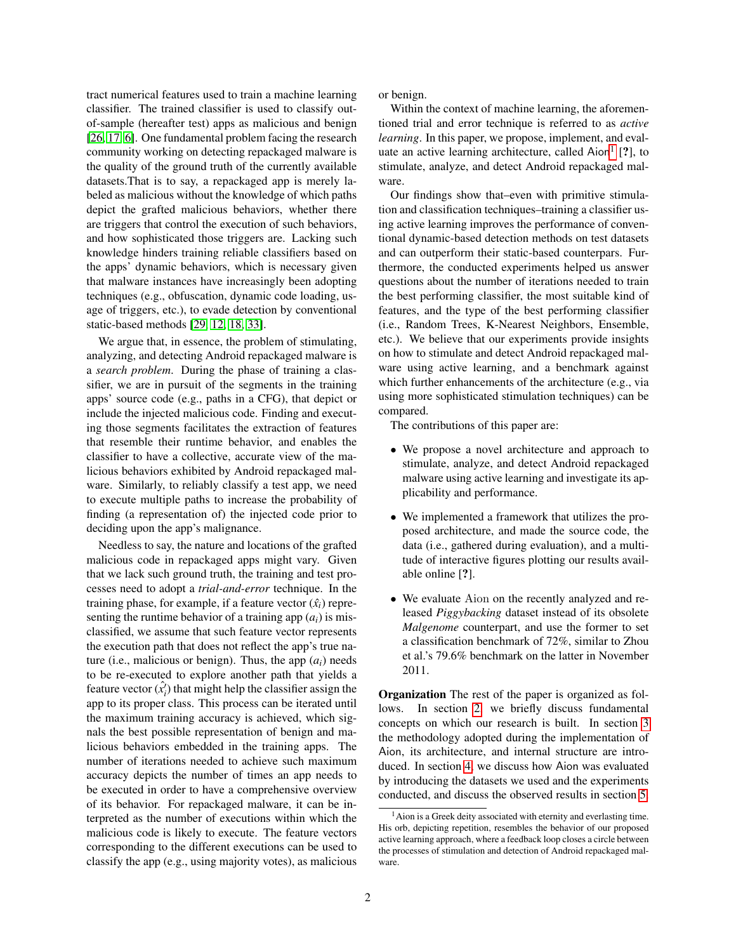tract numerical features used to train a machine learning classifier. The trained classifier is used to classify outof-sample (hereafter test) apps as malicious and benign [\[26,](#page-13-3) [17,](#page-13-2) [6\]](#page-13-9). One fundamental problem facing the research community working on detecting repackaged malware is the quality of the ground truth of the currently available datasets.That is to say, a repackaged app is merely labeled as malicious without the knowledge of which paths depict the grafted malicious behaviors, whether there are triggers that control the execution of such behaviors, and how sophisticated those triggers are. Lacking such knowledge hinders training reliable classifiers based on the apps' dynamic behaviors, which is necessary given that malware instances have increasingly been adopting techniques (e.g., obfuscation, dynamic code loading, usage of triggers, etc.), to evade detection by conventional static-based methods [\[29,](#page-13-0) [12,](#page-13-10) [18,](#page-13-11) [33\]](#page-13-12).

We argue that, in essence, the problem of stimulating, analyzing, and detecting Android repackaged malware is a *search problem*. During the phase of training a classifier, we are in pursuit of the segments in the training apps' source code (e.g., paths in a CFG), that depict or include the injected malicious code. Finding and executing those segments facilitates the extraction of features that resemble their runtime behavior, and enables the classifier to have a collective, accurate view of the malicious behaviors exhibited by Android repackaged malware. Similarly, to reliably classify a test app, we need to execute multiple paths to increase the probability of finding (a representation of) the injected code prior to deciding upon the app's malignance.

Needless to say, the nature and locations of the grafted malicious code in repackaged apps might vary. Given that we lack such ground truth, the training and test processes need to adopt a *trial-and-error* technique. In the training phase, for example, if a feature vector  $(\hat{x}_i)$  representing the runtime behavior of a training app  $(a_i)$  is misclassified, we assume that such feature vector represents the execution path that does not reflect the app's true nature (i.e., malicious or benign). Thus, the app  $(a_i)$  needs to be re-executed to explore another path that yields a feature vector  $(\hat{x}'_i)$  that might help the classifier assign the app to its proper class. This process can be iterated until the maximum training accuracy is achieved, which signals the best possible representation of benign and malicious behaviors embedded in the training apps. The number of iterations needed to achieve such maximum accuracy depicts the number of times an app needs to be executed in order to have a comprehensive overview of its behavior. For repackaged malware, it can be interpreted as the number of executions within which the malicious code is likely to execute. The feature vectors corresponding to the different executions can be used to classify the app (e.g., using majority votes), as malicious or benign.

Within the context of machine learning, the aforementioned trial and error technique is referred to as *active learning*. In this paper, we propose, implement, and eval-uate an active learning architecture, called Aion<sup>[1](#page-1-0)</sup> [?], to stimulate, analyze, and detect Android repackaged malware.

Our findings show that–even with primitive stimulation and classification techniques–training a classifier using active learning improves the performance of conventional dynamic-based detection methods on test datasets and can outperform their static-based counterpars. Furthermore, the conducted experiments helped us answer questions about the number of iterations needed to train the best performing classifier, the most suitable kind of features, and the type of the best performing classifier (i.e., Random Trees, K-Nearest Neighbors, Ensemble, etc.). We believe that our experiments provide insights on how to stimulate and detect Android repackaged malware using active learning, and a benchmark against which further enhancements of the architecture (e.g., via using more sophisticated stimulation techniques) can be compared.

The contributions of this paper are:

- We propose a novel architecture and approach to stimulate, analyze, and detect Android repackaged malware using active learning and investigate its applicability and performance.
- We implemented a framework that utilizes the proposed architecture, and made the source code, the data (i.e., gathered during evaluation), and a multitude of interactive figures plotting our results available online [?].
- We evaluate Aion on the recently analyzed and released *Piggybacking* dataset instead of its obsolete *Malgenome* counterpart, and use the former to set a classification benchmark of 72%, similar to Zhou et al.'s 79.6% benchmark on the latter in November 2011.

Organization The rest of the paper is organized as follows. In section [2,](#page-2-0) we briefly discuss fundamental concepts on which our research is built. In section [3](#page-3-0) the methodology adopted during the implementation of Aion, its architecture, and internal structure are introduced. In section [4,](#page-5-0) we discuss how Aion was evaluated by introducing the datasets we used and the experiments conducted, and discuss the observed results in section [5.](#page-9-0)

<span id="page-1-0"></span><sup>&</sup>lt;sup>1</sup> Aion is a Greek deity associated with eternity and everlasting time. His orb, depicting repetition, resembles the behavior of our proposed active learning approach, where a feedback loop closes a circle between the processes of stimulation and detection of Android repackaged malware.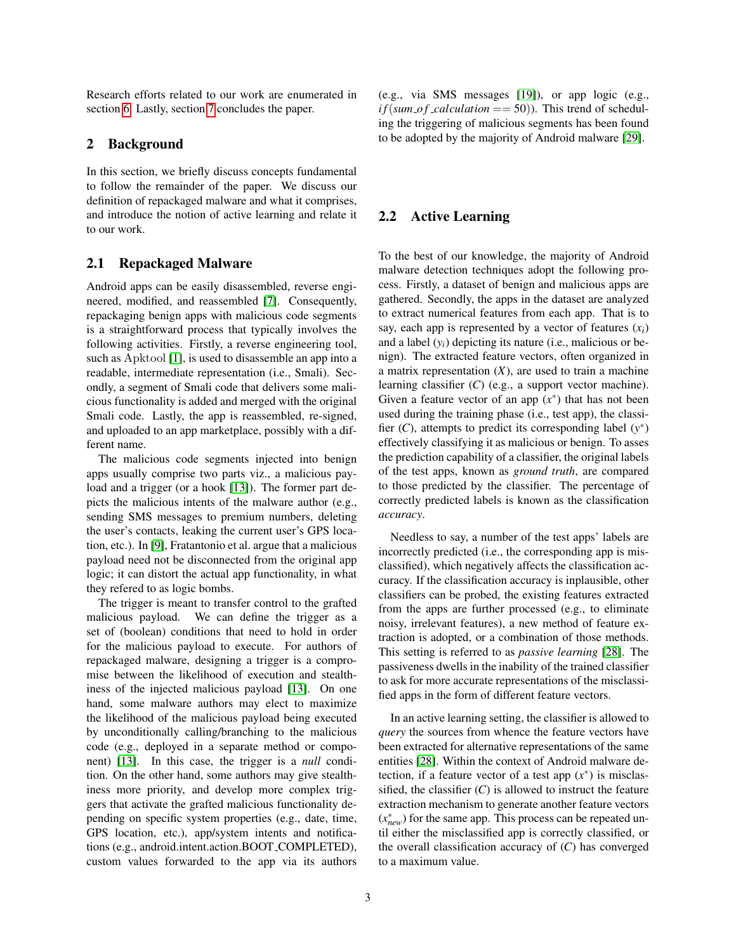Research efforts related to our work are enumerated in section [6.](#page-11-0) Lastly, section [7](#page-12-0) concludes the paper.

# <span id="page-2-0"></span>2 Background

In this section, we briefly discuss concepts fundamental to follow the remainder of the paper. We discuss our definition of repackaged malware and what it comprises, and introduce the notion of active learning and relate it to our work.

## 2.1 Repackaged Malware

Android apps can be easily disassembled, reverse engineered, modified, and reassembled [\[7\]](#page-13-13). Consequently, repackaging benign apps with malicious code segments is a straightforward process that typically involves the following activities. Firstly, a reverse engineering tool, such as Apktool [\[1\]](#page-12-1), is used to disassemble an app into a readable, intermediate representation (i.e., Smali). Secondly, a segment of Smali code that delivers some malicious functionality is added and merged with the original Smali code. Lastly, the app is reassembled, re-signed, and uploaded to an app marketplace, possibly with a different name.

The malicious code segments injected into benign apps usually comprise two parts viz., a malicious pay-load and a trigger (or a hook [\[13\]](#page-13-1)). The former part depicts the malicious intents of the malware author (e.g., sending SMS messages to premium numbers, deleting the user's contacts, leaking the current user's GPS location, etc.). In [\[9\]](#page-13-7), Fratantonio et al. argue that a malicious payload need not be disconnected from the original app logic; it can distort the actual app functionality, in what they refered to as logic bombs.

The trigger is meant to transfer control to the grafted malicious payload. We can define the trigger as a set of (boolean) conditions that need to hold in order for the malicious payload to execute. For authors of repackaged malware, designing a trigger is a compromise between the likelihood of execution and stealthiness of the injected malicious payload [\[13\]](#page-13-1). On one hand, some malware authors may elect to maximize the likelihood of the malicious payload being executed by unconditionally calling/branching to the malicious code (e.g., deployed in a separate method or component) [\[13\]](#page-13-1). In this case, the trigger is a *null* condition. On the other hand, some authors may give stealthiness more priority, and develop more complex triggers that activate the grafted malicious functionality depending on specific system properties (e.g., date, time, GPS location, etc.), app/system intents and notifications (e.g., android.intent.action.BOOT COMPLETED), custom values forwarded to the app via its authors (e.g., via SMS messages [\[19\]](#page-13-14)), or app logic (e.g.,  $if(sum_of\_calculation == 50)$ ). This trend of scheduling the triggering of malicious segments has been found to be adopted by the majority of Android malware [\[29\]](#page-13-0).

# 2.2 Active Learning

To the best of our knowledge, the majority of Android malware detection techniques adopt the following process. Firstly, a dataset of benign and malicious apps are gathered. Secondly, the apps in the dataset are analyzed to extract numerical features from each app. That is to say, each app is represented by a vector of features  $(x_i)$ and a label (*yi*) depicting its nature (i.e., malicious or benign). The extracted feature vectors, often organized in a matrix representation  $(X)$ , are used to train a machine learning classifier (*C*) (e.g., a support vector machine). Given a feature vector of an app  $(x^*)$  that has not been used during the training phase (i.e., test app), the classifier  $(C)$ , attempts to predict its corresponding label  $(y^*)$ effectively classifying it as malicious or benign. To asses the prediction capability of a classifier, the original labels of the test apps, known as *ground truth*, are compared to those predicted by the classifier. The percentage of correctly predicted labels is known as the classification *accuracy*.

Needless to say, a number of the test apps' labels are incorrectly predicted (i.e., the corresponding app is misclassified), which negatively affects the classification accuracy. If the classification accuracy is inplausible, other classifiers can be probed, the existing features extracted from the apps are further processed (e.g., to eliminate noisy, irrelevant features), a new method of feature extraction is adopted, or a combination of those methods. This setting is referred to as *passive learning* [\[28\]](#page-13-15). The passiveness dwells in the inability of the trained classifier to ask for more accurate representations of the misclassified apps in the form of different feature vectors.

In an active learning setting, the classifier is allowed to *query* the sources from whence the feature vectors have been extracted for alternative representations of the same entities [\[28\]](#page-13-15). Within the context of Android malware detection, if a feature vector of a test app  $(x^*)$  is misclassified, the classifier  $(C)$  is allowed to instruct the feature extraction mechanism to generate another feature vectors (*x* ∗ *new*) for the same app. This process can be repeated until either the misclassified app is correctly classified, or the overall classification accuracy of  $(C)$  has converged to a maximum value.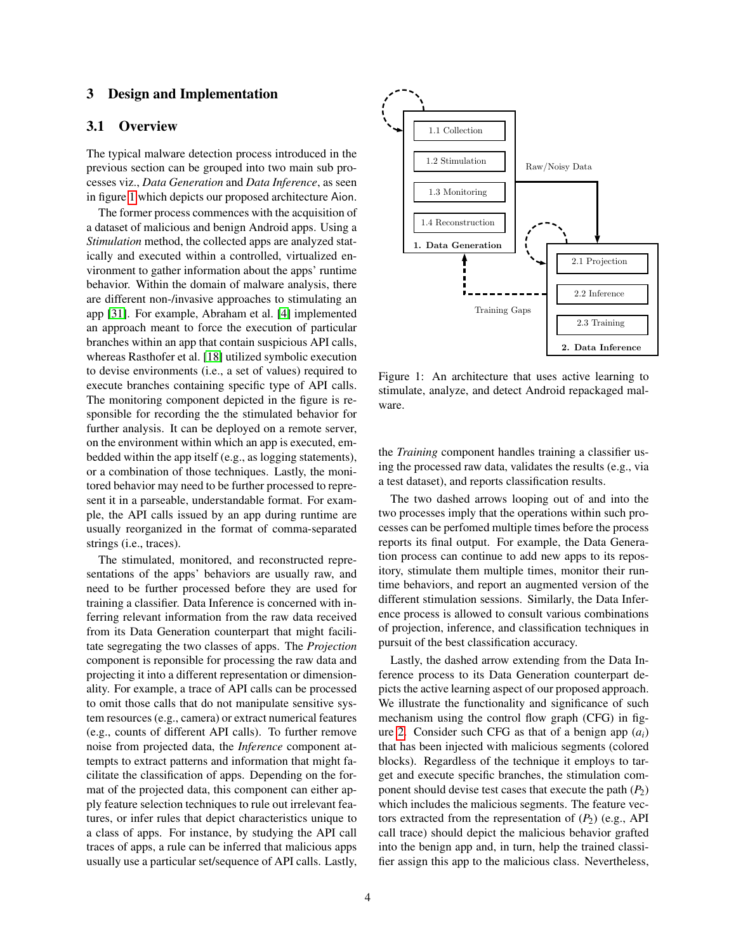# <span id="page-3-0"></span>3 Design and Implementation

# 3.1 Overview

The typical malware detection process introduced in the previous section can be grouped into two main sub processes viz., *Data Generation* and *Data Inference*, as seen in figure [1](#page-3-1) which depicts our proposed architecture Aion.

The former process commences with the acquisition of a dataset of malicious and benign Android apps. Using a *Stimulation* method, the collected apps are analyzed statically and executed within a controlled, virtualized environment to gather information about the apps' runtime behavior. Within the domain of malware analysis, there are different non-/invasive approaches to stimulating an app [\[31\]](#page-13-16). For example, Abraham et al. [\[4\]](#page-12-2) implemented an approach meant to force the execution of particular branches within an app that contain suspicious API calls, whereas Rasthofer et al. [\[18\]](#page-13-11) utilized symbolic execution to devise environments (i.e., a set of values) required to execute branches containing specific type of API calls. The monitoring component depicted in the figure is responsible for recording the the stimulated behavior for further analysis. It can be deployed on a remote server, on the environment within which an app is executed, embedded within the app itself (e.g., as logging statements), or a combination of those techniques. Lastly, the monitored behavior may need to be further processed to represent it in a parseable, understandable format. For example, the API calls issued by an app during runtime are usually reorganized in the format of comma-separated strings (i.e., traces).

The stimulated, monitored, and reconstructed representations of the apps' behaviors are usually raw, and need to be further processed before they are used for training a classifier. Data Inference is concerned with inferring relevant information from the raw data received from its Data Generation counterpart that might facilitate segregating the two classes of apps. The *Projection* component is reponsible for processing the raw data and projecting it into a different representation or dimensionality. For example, a trace of API calls can be processed to omit those calls that do not manipulate sensitive system resources (e.g., camera) or extract numerical features (e.g., counts of different API calls). To further remove noise from projected data, the *Inference* component attempts to extract patterns and information that might facilitate the classification of apps. Depending on the format of the projected data, this component can either apply feature selection techniques to rule out irrelevant features, or infer rules that depict characteristics unique to a class of apps. For instance, by studying the API call traces of apps, a rule can be inferred that malicious apps usually use a particular set/sequence of API calls. Lastly,

<span id="page-3-1"></span>

Figure 1: An architecture that uses active learning to stimulate, analyze, and detect Android repackaged malware.

the *Training* component handles training a classifier using the processed raw data, validates the results (e.g., via a test dataset), and reports classification results.

The two dashed arrows looping out of and into the two processes imply that the operations within such processes can be perfomed multiple times before the process reports its final output. For example, the Data Generation process can continue to add new apps to its repository, stimulate them multiple times, monitor their runtime behaviors, and report an augmented version of the different stimulation sessions. Similarly, the Data Inference process is allowed to consult various combinations of projection, inference, and classification techniques in pursuit of the best classification accuracy.

Lastly, the dashed arrow extending from the Data Inference process to its Data Generation counterpart depicts the active learning aspect of our proposed approach. We illustrate the functionality and significance of such mechanism using the control flow graph (CFG) in fig-ure [2.](#page-4-0) Consider such CFG as that of a benign app  $(a_i)$ that has been injected with malicious segments (colored blocks). Regardless of the technique it employs to target and execute specific branches, the stimulation component should devise test cases that execute the path  $(P_2)$ which includes the malicious segments. The feature vectors extracted from the representation of  $(P_2)$  (e.g., API call trace) should depict the malicious behavior grafted into the benign app and, in turn, help the trained classifier assign this app to the malicious class. Nevertheless,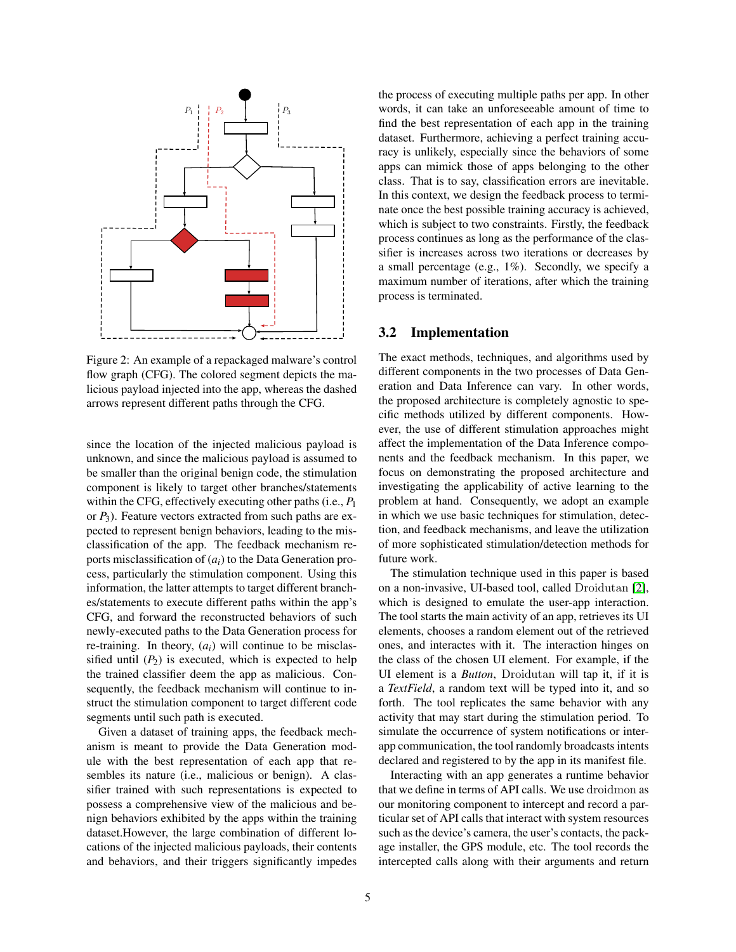<span id="page-4-0"></span>

Figure 2: An example of a repackaged malware's control flow graph (CFG). The colored segment depicts the malicious payload injected into the app, whereas the dashed arrows represent different paths through the CFG.

since the location of the injected malicious payload is unknown, and since the malicious payload is assumed to be smaller than the original benign code, the stimulation component is likely to target other branches/statements within the CFG, effectively executing other paths (i.e., *P*<sup>1</sup> or *P*3). Feature vectors extracted from such paths are expected to represent benign behaviors, leading to the misclassification of the app. The feedback mechanism reports misclassification of (*ai*) to the Data Generation process, particularly the stimulation component. Using this information, the latter attempts to target different branches/statements to execute different paths within the app's CFG, and forward the reconstructed behaviors of such newly-executed paths to the Data Generation process for re-training. In theory,  $(a_i)$  will continue to be misclassified until  $(P_2)$  is executed, which is expected to help the trained classifier deem the app as malicious. Consequently, the feedback mechanism will continue to instruct the stimulation component to target different code segments until such path is executed.

Given a dataset of training apps, the feedback mechanism is meant to provide the Data Generation module with the best representation of each app that resembles its nature (i.e., malicious or benign). A classifier trained with such representations is expected to possess a comprehensive view of the malicious and benign behaviors exhibited by the apps within the training dataset.However, the large combination of different locations of the injected malicious payloads, their contents and behaviors, and their triggers significantly impedes the process of executing multiple paths per app. In other words, it can take an unforeseeable amount of time to find the best representation of each app in the training dataset. Furthermore, achieving a perfect training accuracy is unlikely, especially since the behaviors of some apps can mimick those of apps belonging to the other class. That is to say, classification errors are inevitable. In this context, we design the feedback process to terminate once the best possible training accuracy is achieved, which is subject to two constraints. Firstly, the feedback process continues as long as the performance of the classifier is increases across two iterations or decreases by a small percentage (e.g., 1%). Secondly, we specify a maximum number of iterations, after which the training process is terminated.

### <span id="page-4-1"></span>3.2 Implementation

The exact methods, techniques, and algorithms used by different components in the two processes of Data Generation and Data Inference can vary. In other words, the proposed architecture is completely agnostic to specific methods utilized by different components. However, the use of different stimulation approaches might affect the implementation of the Data Inference components and the feedback mechanism. In this paper, we focus on demonstrating the proposed architecture and investigating the applicability of active learning to the problem at hand. Consequently, we adopt an example in which we use basic techniques for stimulation, detection, and feedback mechanisms, and leave the utilization of more sophisticated stimulation/detection methods for future work.

The stimulation technique used in this paper is based on a non-invasive, UI-based tool, called Droidutan [\[2\]](#page-12-3), which is designed to emulate the user-app interaction. The tool starts the main activity of an app, retrieves its UI elements, chooses a random element out of the retrieved ones, and interactes with it. The interaction hinges on the class of the chosen UI element. For example, if the UI element is a *Button*, Droidutan will tap it, if it is a *TextField*, a random text will be typed into it, and so forth. The tool replicates the same behavior with any activity that may start during the stimulation period. To simulate the occurrence of system notifications or interapp communication, the tool randomly broadcasts intents declared and registered to by the app in its manifest file.

Interacting with an app generates a runtime behavior that we define in terms of API calls. We use droidmon as our monitoring component to intercept and record a particular set of API calls that interact with system resources such as the device's camera, the user's contacts, the package installer, the GPS module, etc. The tool records the intercepted calls along with their arguments and return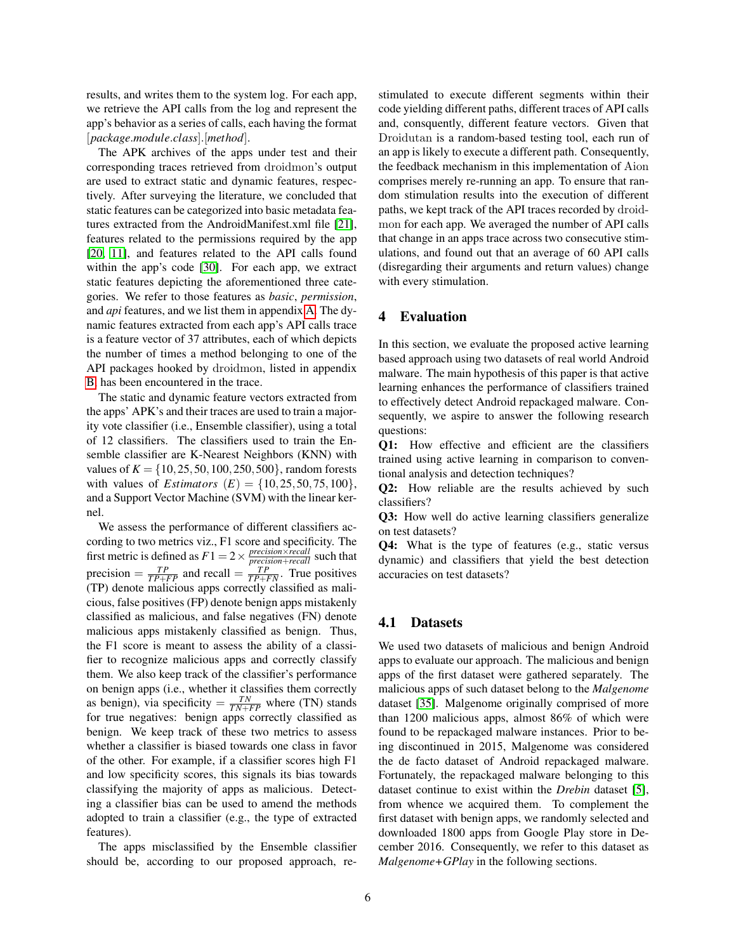results, and writes them to the system log. For each app, we retrieve the API calls from the log and represent the app's behavior as a series of calls, each having the format [*package*.*module*.*class*].[*method*].

The APK archives of the apps under test and their corresponding traces retrieved from droidmon's output are used to extract static and dynamic features, respectively. After surveying the literature, we concluded that static features can be categorized into basic metadata features extracted from the AndroidManifest.xml file [\[21\]](#page-13-17), features related to the permissions required by the app [\[20,](#page-13-18) [11\]](#page-13-19), and features related to the API calls found within the app's code [\[30\]](#page-13-20). For each app, we extract static features depicting the aforementioned three categories. We refer to those features as *basic*, *permission*, and *api* features, and we list them in appendix [A.](#page-14-0) The dynamic features extracted from each app's API calls trace is a feature vector of 37 attributes, each of which depicts the number of times a method belonging to one of the API packages hooked by droidmon, listed in appendix [B,](#page-14-1) has been encountered in the trace.

The static and dynamic feature vectors extracted from the apps' APK's and their traces are used to train a majority vote classifier (i.e., Ensemble classifier), using a total of 12 classifiers. The classifiers used to train the Ensemble classifier are K-Nearest Neighbors (KNN) with values of  $K = \{10, 25, 50, 100, 250, 500\}$ , random forests with values of *Estimators*  $(E) = \{10, 25, 50, 75, 100\},\$ and a Support Vector Machine (SVM) with the linear kernel.

We assess the performance of different classifiers according to two metrics viz., F1 score and specificity. The first metric is defined as  $F1 = 2 \times \frac{precision \times recall}{precision + recall}$  such that precision  $= \frac{TP}{TP + FP}$  and recall  $= \frac{TP}{TP + FN}$ . True positives (TP) denote malicious apps correctly classified as malicious, false positives (FP) denote benign apps mistakenly classified as malicious, and false negatives (FN) denote malicious apps mistakenly classified as benign. Thus, the F1 score is meant to assess the ability of a classifier to recognize malicious apps and correctly classify them. We also keep track of the classifier's performance on benign apps (i.e., whether it classifies them correctly as benign), via specificity  $= \frac{TN}{TN+FP}$  where (TN) stands for true negatives: benign apps correctly classified as benign. We keep track of these two metrics to assess whether a classifier is biased towards one class in favor of the other. For example, if a classifier scores high F1 and low specificity scores, this signals its bias towards classifying the majority of apps as malicious. Detecting a classifier bias can be used to amend the methods adopted to train a classifier (e.g., the type of extracted features).

The apps misclassified by the Ensemble classifier should be, according to our proposed approach, restimulated to execute different segments within their code yielding different paths, different traces of API calls and, consquently, different feature vectors. Given that Droidutan is a random-based testing tool, each run of an app is likely to execute a different path. Consequently, the feedback mechanism in this implementation of Aion comprises merely re-running an app. To ensure that random stimulation results into the execution of different paths, we kept track of the API traces recorded by droidmon for each app. We averaged the number of API calls that change in an apps trace across two consecutive stimulations, and found out that an average of 60 API calls (disregarding their arguments and return values) change with every stimulation.

# <span id="page-5-0"></span>4 Evaluation

In this section, we evaluate the proposed active learning based approach using two datasets of real world Android malware. The main hypothesis of this paper is that active learning enhances the performance of classifiers trained to effectively detect Android repackaged malware. Consequently, we aspire to answer the following research questions:

Q1: How effective and efficient are the classifiers trained using active learning in comparison to conventional analysis and detection techniques?

Q2: How reliable are the results achieved by such classifiers?

Q3: How well do active learning classifiers generalize on test datasets?

Q4: What is the type of features (e.g., static versus dynamic) and classifiers that yield the best detection accuracies on test datasets?

# 4.1 Datasets

We used two datasets of malicious and benign Android apps to evaluate our approach. The malicious and benign apps of the first dataset were gathered separately. The malicious apps of such dataset belong to the *Malgenome* dataset [\[35\]](#page-13-4). Malgenome originally comprised of more than 1200 malicious apps, almost 86% of which were found to be repackaged malware instances. Prior to being discontinued in 2015, Malgenome was considered the de facto dataset of Android repackaged malware. Fortunately, the repackaged malware belonging to this dataset continue to exist within the *Drebin* dataset [\[5\]](#page-13-21), from whence we acquired them. To complement the first dataset with benign apps, we randomly selected and downloaded 1800 apps from Google Play store in December 2016. Consequently, we refer to this dataset as *Malgenome+GPlay* in the following sections.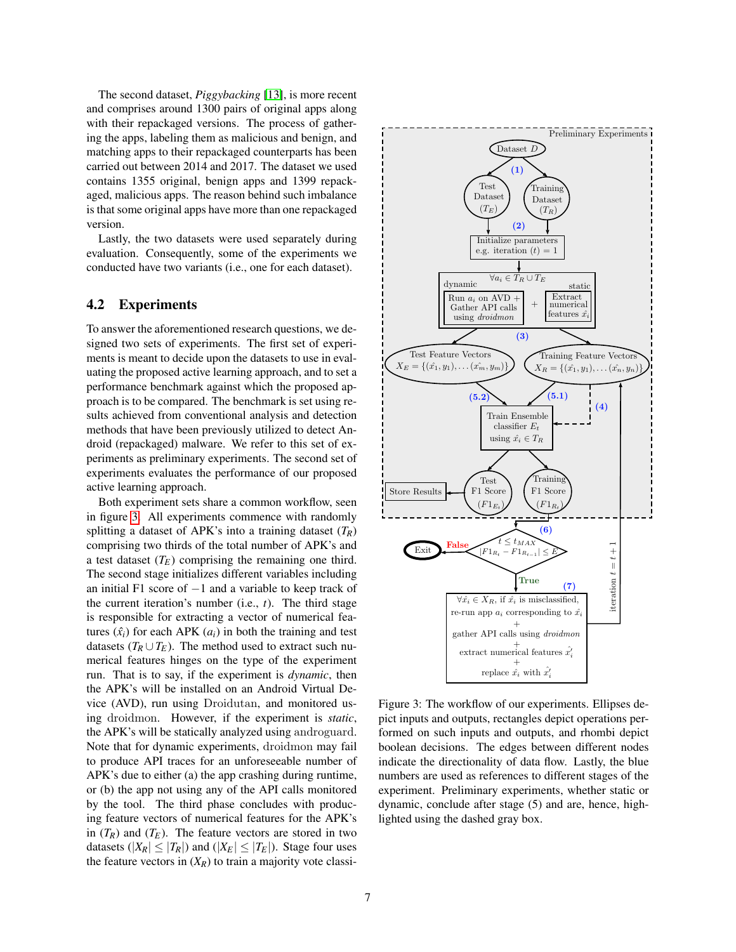The second dataset, *Piggybacking* [\[13\]](#page-13-1), is more recent and comprises around 1300 pairs of original apps along with their repackaged versions. The process of gathering the apps, labeling them as malicious and benign, and matching apps to their repackaged counterparts has been carried out between 2014 and 2017. The dataset we used contains 1355 original, benign apps and 1399 repackaged, malicious apps. The reason behind such imbalance is that some original apps have more than one repackaged version.

Lastly, the two datasets were used separately during evaluation. Consequently, some of the experiments we conducted have two variants (i.e., one for each dataset).

# 4.2 Experiments

To answer the aforementioned research questions, we designed two sets of experiments. The first set of experiments is meant to decide upon the datasets to use in evaluating the proposed active learning approach, and to set a performance benchmark against which the proposed approach is to be compared. The benchmark is set using results achieved from conventional analysis and detection methods that have been previously utilized to detect Android (repackaged) malware. We refer to this set of experiments as preliminary experiments. The second set of experiments evaluates the performance of our proposed active learning approach.

Both experiment sets share a common workflow, seen in figure [3.](#page-6-0) All experiments commence with randomly splitting a dataset of APK's into a training dataset  $(T_R)$ comprising two thirds of the total number of APK's and a test dataset  $(T_E)$  comprising the remaining one third. The second stage initializes different variables including an initial F1 score of −1 and a variable to keep track of the current iteration's number (i.e., *t*). The third stage is responsible for extracting a vector of numerical features  $(\hat{x}_i)$  for each APK  $(a_i)$  in both the training and test datasets ( $T_R \cup T_E$ ). The method used to extract such numerical features hinges on the type of the experiment run. That is to say, if the experiment is *dynamic*, then the APK's will be installed on an Android Virtual Device (AVD), run using Droidutan, and monitored using droidmon. However, if the experiment is *static*, the APK's will be statically analyzed using androguard. Note that for dynamic experiments, droidmon may fail to produce API traces for an unforeseeable number of APK's due to either (a) the app crashing during runtime, or (b) the app not using any of the API calls monitored by the tool. The third phase concludes with producing feature vectors of numerical features for the APK's in  $(T_R)$  and  $(T_E)$ . The feature vectors are stored in two datasets ( $|X_R| \leq |T_R|$ ) and ( $|X_E| \leq |T_E|$ ). Stage four uses the feature vectors in  $(X_R)$  to train a majority vote classi-

<span id="page-6-0"></span>

Figure 3: The workflow of our experiments. Ellipses depict inputs and outputs, rectangles depict operations performed on such inputs and outputs, and rhombi depict boolean decisions. The edges between different nodes indicate the directionality of data flow. Lastly, the blue numbers are used as references to different stages of the experiment. Preliminary experiments, whether static or dynamic, conclude after stage (5) and are, hence, highlighted using the dashed gray box.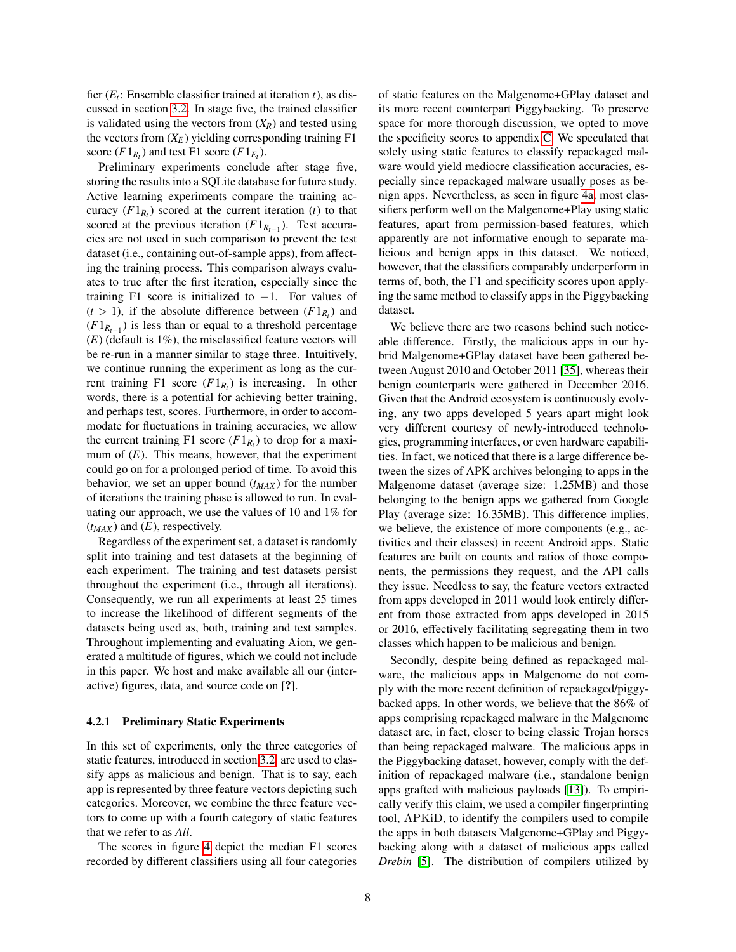fier (*E<sup>t</sup>* : Ensemble classifier trained at iteration *t*), as discussed in section [3.2.](#page-4-1) In stage five, the trained classifier is validated using the vectors from  $(X_R)$  and tested using the vectors from  $(X_E)$  yielding corresponding training F1 score  $(F1_{R_t})$  and test F1 score  $(F1_{E_t})$ .

Preliminary experiments conclude after stage five, storing the results into a SQLite database for future study. Active learning experiments compare the training accuracy  $(F1_{R_t})$  scored at the current iteration  $(t)$  to that scored at the previous iteration  $(F1_{R_{t-1}})$ . Test accuracies are not used in such comparison to prevent the test dataset (i.e., containing out-of-sample apps), from affecting the training process. This comparison always evaluates to true after the first iteration, especially since the training F1 score is initialized to  $-1$ . For values of  $(t > 1)$ , if the absolute difference between  $(F1_{R_t})$  and  $(F1_{R_{t-1}})$  is less than or equal to a threshold percentage (*E*) (default is 1%), the misclassified feature vectors will be re-run in a manner similar to stage three. Intuitively, we continue running the experiment as long as the current training F1 score  $(F1_{R_t})$  is increasing. In other words, there is a potential for achieving better training, and perhaps test, scores. Furthermore, in order to accommodate for fluctuations in training accuracies, we allow the current training F1 score  $(F1_{R_t})$  to drop for a maximum of  $(E)$ . This means, however, that the experiment could go on for a prolonged period of time. To avoid this behavior, we set an upper bound (*tMAX* ) for the number of iterations the training phase is allowed to run. In evaluating our approach, we use the values of 10 and 1% for  $(t_{MAX})$  and  $(E)$ , respectively.

Regardless of the experiment set, a dataset is randomly split into training and test datasets at the beginning of each experiment. The training and test datasets persist throughout the experiment (i.e., through all iterations). Consequently, we run all experiments at least 25 times to increase the likelihood of different segments of the datasets being used as, both, training and test samples. Throughout implementing and evaluating Aion, we generated a multitude of figures, which we could not include in this paper. We host and make available all our (interactive) figures, data, and source code on [?].

#### 4.2.1 Preliminary Static Experiments

In this set of experiments, only the three categories of static features, introduced in section [3.2,](#page-4-1) are used to classify apps as malicious and benign. That is to say, each app is represented by three feature vectors depicting such categories. Moreover, we combine the three feature vectors to come up with a fourth category of static features that we refer to as *All*.

The scores in figure [4](#page-8-0) depict the median F1 scores recorded by different classifiers using all four categories of static features on the Malgenome+GPlay dataset and its more recent counterpart Piggybacking. To preserve space for more thorough discussion, we opted to move the specificity scores to appendix [C.](#page-14-2) We speculated that solely using static features to classify repackaged malware would yield mediocre classification accuracies, especially since repackaged malware usually poses as benign apps. Nevertheless, as seen in figure [4a,](#page-8-0) most classifiers perform well on the Malgenome+Play using static features, apart from permission-based features, which apparently are not informative enough to separate malicious and benign apps in this dataset. We noticed, however, that the classifiers comparably underperform in terms of, both, the F1 and specificity scores upon applying the same method to classify apps in the Piggybacking dataset.

We believe there are two reasons behind such noticeable difference. Firstly, the malicious apps in our hybrid Malgenome+GPlay dataset have been gathered between August 2010 and October 2011 [\[35\]](#page-13-4), whereas their benign counterparts were gathered in December 2016. Given that the Android ecosystem is continuously evolving, any two apps developed 5 years apart might look very different courtesy of newly-introduced technologies, programming interfaces, or even hardware capabilities. In fact, we noticed that there is a large difference between the sizes of APK archives belonging to apps in the Malgenome dataset (average size: 1.25MB) and those belonging to the benign apps we gathered from Google Play (average size: 16.35MB). This difference implies, we believe, the existence of more components (e.g., activities and their classes) in recent Android apps. Static features are built on counts and ratios of those components, the permissions they request, and the API calls they issue. Needless to say, the feature vectors extracted from apps developed in 2011 would look entirely different from those extracted from apps developed in 2015 or 2016, effectively facilitating segregating them in two classes which happen to be malicious and benign.

Secondly, despite being defined as repackaged malware, the malicious apps in Malgenome do not comply with the more recent definition of repackaged/piggybacked apps. In other words, we believe that the 86% of apps comprising repackaged malware in the Malgenome dataset are, in fact, closer to being classic Trojan horses than being repackaged malware. The malicious apps in the Piggybacking dataset, however, comply with the definition of repackaged malware (i.e., standalone benign apps grafted with malicious payloads [\[13\]](#page-13-1)). To empirically verify this claim, we used a compiler fingerprinting tool, APKiD, to identify the compilers used to compile the apps in both datasets Malgenome+GPlay and Piggybacking along with a dataset of malicious apps called *Drebin* [\[5\]](#page-13-21). The distribution of compilers utilized by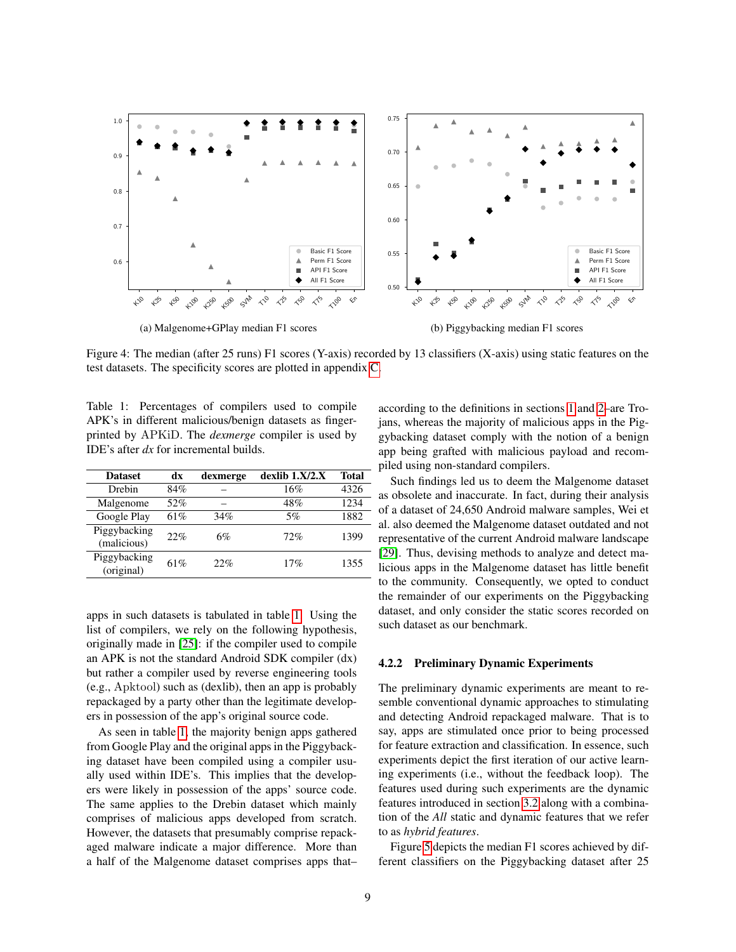<span id="page-8-0"></span>

Figure 4: The median (after 25 runs) F1 scores (Y-axis) recorded by 13 classifiers (X-axis) using static features on the test datasets. The specificity scores are plotted in appendix [C.](#page-14-2)

<span id="page-8-1"></span>Table 1: Percentages of compilers used to compile APK's in different malicious/benign datasets as fingerprinted by APKiD. The *dexmerge* compiler is used by IDE's after *dx* for incremental builds.

| <b>Dataset</b>              | dx  | dexmerge | $dexlib$ 1. $X/2.X$ | <b>Total</b> |
|-----------------------------|-----|----------|---------------------|--------------|
| Drebin                      | 84% |          | 16%                 | 4326         |
| Malgenome                   | 52% |          | 48%                 | 1234         |
| Google Play                 | 61% | 34%      | 5%                  | 1882         |
| Piggybacking<br>(malicious) | 22% | 6%       | 72%                 | 1399         |
| Piggybacking<br>(original)  | 61% | 22%      | 17%                 | 1355         |

apps in such datasets is tabulated in table [1.](#page-8-1) Using the list of compilers, we rely on the following hypothesis, originally made in [\[25\]](#page-13-22): if the compiler used to compile an APK is not the standard Android SDK compiler (dx) but rather a compiler used by reverse engineering tools (e.g., Apktool) such as (dexlib), then an app is probably repackaged by a party other than the legitimate developers in possession of the app's original source code.

As seen in table [1,](#page-8-1) the majority benign apps gathered from Google Play and the original apps in the Piggybacking dataset have been compiled using a compiler usually used within IDE's. This implies that the developers were likely in possession of the apps' source code. The same applies to the Drebin dataset which mainly comprises of malicious apps developed from scratch. However, the datasets that presumably comprise repackaged malware indicate a major difference. More than a half of the Malgenome dataset comprises apps that– according to the definitions in sections [1](#page-0-0) and [2–](#page-2-0)are Trojans, whereas the majority of malicious apps in the Piggybacking dataset comply with the notion of a benign app being grafted with malicious payload and recompiled using non-standard compilers.

Such findings led us to deem the Malgenome dataset as obsolete and inaccurate. In fact, during their analysis of a dataset of 24,650 Android malware samples, Wei et al. also deemed the Malgenome dataset outdated and not representative of the current Android malware landscape [\[29\]](#page-13-0). Thus, devising methods to analyze and detect malicious apps in the Malgenome dataset has little benefit to the community. Consequently, we opted to conduct the remainder of our experiments on the Piggybacking dataset, and only consider the static scores recorded on such dataset as our benchmark.

#### 4.2.2 Preliminary Dynamic Experiments

The preliminary dynamic experiments are meant to resemble conventional dynamic approaches to stimulating and detecting Android repackaged malware. That is to say, apps are stimulated once prior to being processed for feature extraction and classification. In essence, such experiments depict the first iteration of our active learning experiments (i.e., without the feedback loop). The features used during such experiments are the dynamic features introduced in section [3.2](#page-4-1) along with a combination of the *All* static and dynamic features that we refer to as *hybrid features*.

Figure [5](#page-9-1) depicts the median F1 scores achieved by different classifiers on the Piggybacking dataset after 25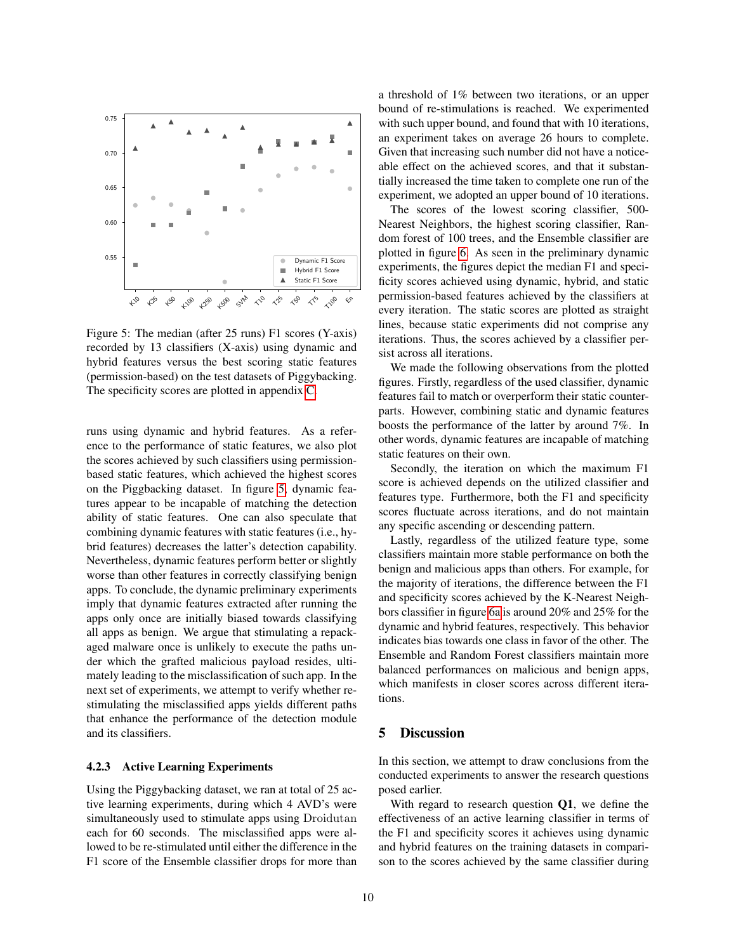<span id="page-9-1"></span>

Figure 5: The median (after 25 runs) F1 scores (Y-axis) recorded by 13 classifiers (X-axis) using dynamic and hybrid features versus the best scoring static features (permission-based) on the test datasets of Piggybacking. The specificity scores are plotted in appendix [C.](#page-14-2)

runs using dynamic and hybrid features. As a reference to the performance of static features, we also plot the scores achieved by such classifiers using permissionbased static features, which achieved the highest scores on the Piggbacking dataset. In figure [5,](#page-9-1) dynamic features appear to be incapable of matching the detection ability of static features. One can also speculate that combining dynamic features with static features (i.e., hybrid features) decreases the latter's detection capability. Nevertheless, dynamic features perform better or slightly worse than other features in correctly classifying benign apps. To conclude, the dynamic preliminary experiments imply that dynamic features extracted after running the apps only once are initially biased towards classifying all apps as benign. We argue that stimulating a repackaged malware once is unlikely to execute the paths under which the grafted malicious payload resides, ultimately leading to the misclassification of such app. In the next set of experiments, we attempt to verify whether restimulating the misclassified apps yields different paths that enhance the performance of the detection module and its classifiers.

#### 4.2.3 Active Learning Experiments

Using the Piggybacking dataset, we ran at total of 25 active learning experiments, during which 4 AVD's were simultaneously used to stimulate apps using Droidutan each for 60 seconds. The misclassified apps were allowed to be re-stimulated until either the difference in the F1 score of the Ensemble classifier drops for more than a threshold of 1% between two iterations, or an upper bound of re-stimulations is reached. We experimented with such upper bound, and found that with 10 iterations, an experiment takes on average 26 hours to complete. Given that increasing such number did not have a noticeable effect on the achieved scores, and that it substantially increased the time taken to complete one run of the experiment, we adopted an upper bound of 10 iterations.

The scores of the lowest scoring classifier, 500- Nearest Neighbors, the highest scoring classifier, Random forest of 100 trees, and the Ensemble classifier are plotted in figure [6.](#page-10-0) As seen in the preliminary dynamic experiments, the figures depict the median F1 and specificity scores achieved using dynamic, hybrid, and static permission-based features achieved by the classifiers at every iteration. The static scores are plotted as straight lines, because static experiments did not comprise any iterations. Thus, the scores achieved by a classifier persist across all iterations.

We made the following observations from the plotted figures. Firstly, regardless of the used classifier, dynamic features fail to match or overperform their static counterparts. However, combining static and dynamic features boosts the performance of the latter by around 7%. In other words, dynamic features are incapable of matching static features on their own.

Secondly, the iteration on which the maximum F1 score is achieved depends on the utilized classifier and features type. Furthermore, both the F1 and specificity scores fluctuate across iterations, and do not maintain any specific ascending or descending pattern.

Lastly, regardless of the utilized feature type, some classifiers maintain more stable performance on both the benign and malicious apps than others. For example, for the majority of iterations, the difference between the F1 and specificity scores achieved by the K-Nearest Neighbors classifier in figure [6a](#page-10-0) is around 20% and 25% for the dynamic and hybrid features, respectively. This behavior indicates bias towards one class in favor of the other. The Ensemble and Random Forest classifiers maintain more balanced performances on malicious and benign apps, which manifests in closer scores across different iterations.

# <span id="page-9-0"></span>5 Discussion

In this section, we attempt to draw conclusions from the conducted experiments to answer the research questions posed earlier.

With regard to research question  $Q1$ , we define the effectiveness of an active learning classifier in terms of the F1 and specificity scores it achieves using dynamic and hybrid features on the training datasets in comparison to the scores achieved by the same classifier during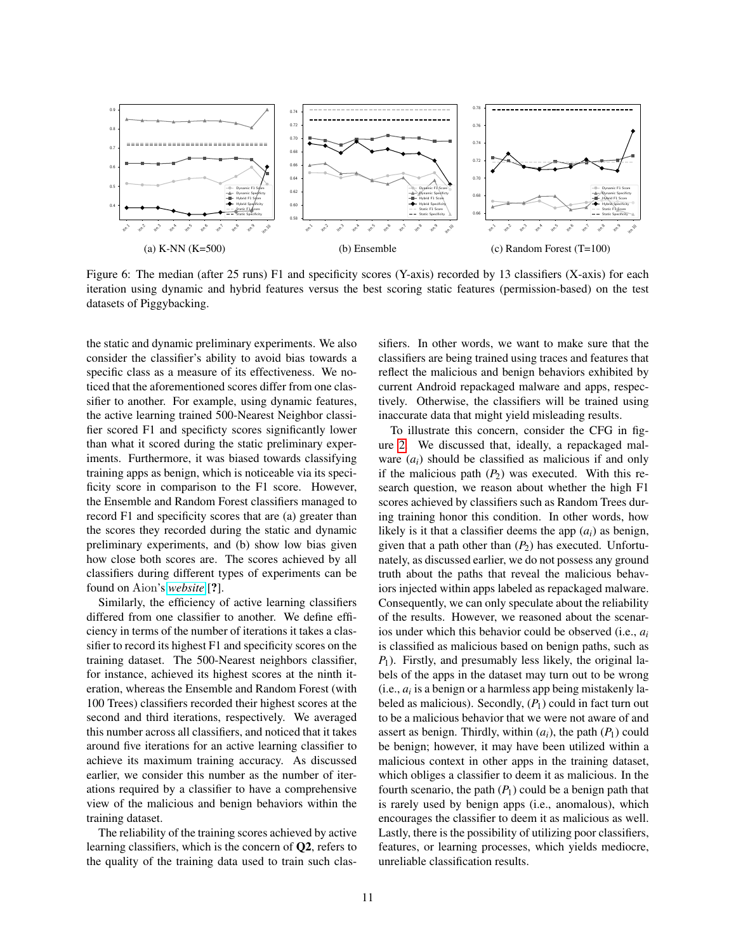<span id="page-10-0"></span>

Figure 6: The median (after 25 runs) F1 and specificity scores (Y-axis) recorded by 13 classifiers (X-axis) for each iteration using dynamic and hybrid features versus the best scoring static features (permission-based) on the test datasets of Piggybacking.

the static and dynamic preliminary experiments. We also consider the classifier's ability to avoid bias towards a specific class as a measure of its effectiveness. We noticed that the aforementioned scores differ from one classifier to another. For example, using dynamic features, the active learning trained 500-Nearest Neighbor classifier scored F1 and specificty scores significantly lower than what it scored during the static preliminary experiments. Furthermore, it was biased towards classifying training apps as benign, which is noticeable via its specificity score in comparison to the F1 score. However, the Ensemble and Random Forest classifiers managed to record F1 and specificity scores that are (a) greater than the scores they recorded during the static and dynamic preliminary experiments, and (b) show low bias given how close both scores are. The scores achieved by all classifiers during different types of experiments can be found on Aion's *[website](https://aionexperiments.github.io/figures.html)* [?].

Similarly, the efficiency of active learning classifiers differed from one classifier to another. We define efficiency in terms of the number of iterations it takes a classifier to record its highest F1 and specificity scores on the training dataset. The 500-Nearest neighbors classifier, for instance, achieved its highest scores at the ninth iteration, whereas the Ensemble and Random Forest (with 100 Trees) classifiers recorded their highest scores at the second and third iterations, respectively. We averaged this number across all classifiers, and noticed that it takes around five iterations for an active learning classifier to achieve its maximum training accuracy. As discussed earlier, we consider this number as the number of iterations required by a classifier to have a comprehensive view of the malicious and benign behaviors within the training dataset.

The reliability of the training scores achieved by active learning classifiers, which is the concern of Q2, refers to the quality of the training data used to train such classifiers. In other words, we want to make sure that the classifiers are being trained using traces and features that reflect the malicious and benign behaviors exhibited by current Android repackaged malware and apps, respectively. Otherwise, the classifiers will be trained using inaccurate data that might yield misleading results.

To illustrate this concern, consider the CFG in figure [2.](#page-4-0) We discussed that, ideally, a repackaged malware  $(a_i)$  should be classified as malicious if and only if the malicious path  $(P_2)$  was executed. With this research question, we reason about whether the high F1 scores achieved by classifiers such as Random Trees during training honor this condition. In other words, how likely is it that a classifier deems the app  $(a_i)$  as benign, given that a path other than  $(P_2)$  has executed. Unfortunately, as discussed earlier, we do not possess any ground truth about the paths that reveal the malicious behaviors injected within apps labeled as repackaged malware. Consequently, we can only speculate about the reliability of the results. However, we reasoned about the scenarios under which this behavior could be observed (i.e., *a<sup>i</sup>* is classified as malicious based on benign paths, such as *P*1). Firstly, and presumably less likely, the original labels of the apps in the dataset may turn out to be wrong  $(i.e.,  $a_i$  is a benign or a harmless app being mistakently la$ beled as malicious). Secondly,  $(P_1)$  could in fact turn out to be a malicious behavior that we were not aware of and assert as benign. Thirdly, within  $(a_i)$ , the path  $(P_1)$  could be benign; however, it may have been utilized within a malicious context in other apps in the training dataset, which obliges a classifier to deem it as malicious. In the fourth scenario, the path  $(P_1)$  could be a benign path that is rarely used by benign apps (i.e., anomalous), which encourages the classifier to deem it as malicious as well. Lastly, there is the possibility of utilizing poor classifiers, features, or learning processes, which yields mediocre, unreliable classification results.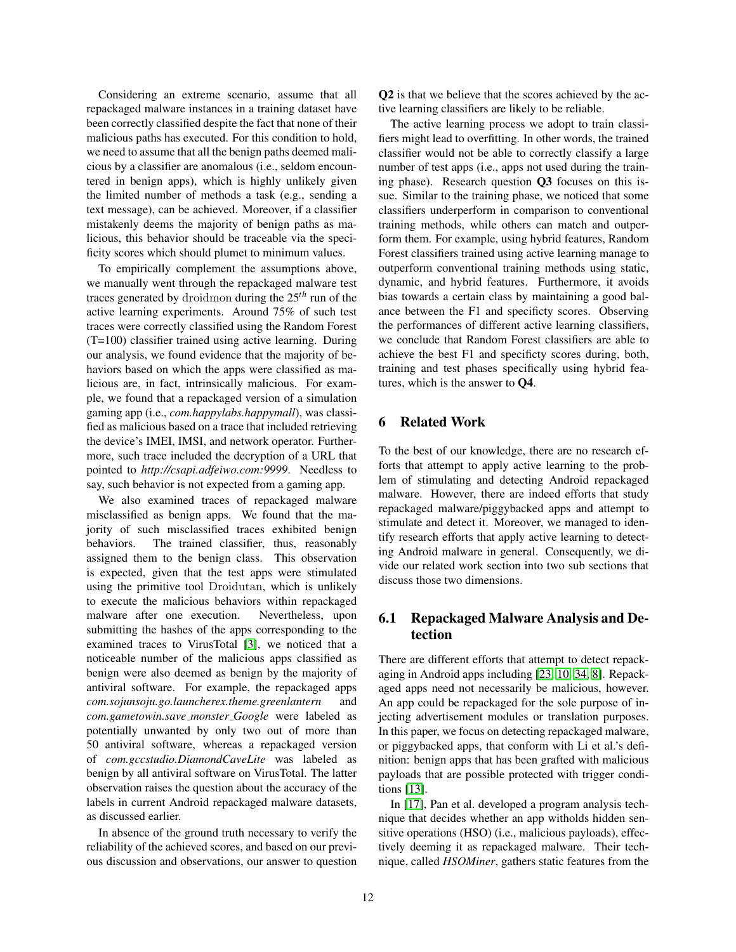Considering an extreme scenario, assume that all repackaged malware instances in a training dataset have been correctly classified despite the fact that none of their malicious paths has executed. For this condition to hold, we need to assume that all the benign paths deemed malicious by a classifier are anomalous (i.e., seldom encountered in benign apps), which is highly unlikely given the limited number of methods a task (e.g., sending a text message), can be achieved. Moreover, if a classifier mistakenly deems the majority of benign paths as malicious, this behavior should be traceable via the specificity scores which should plumet to minimum values.

To empirically complement the assumptions above, we manually went through the repackaged malware test traces generated by droidmon during the 25*th* run of the active learning experiments. Around 75% of such test traces were correctly classified using the Random Forest (T=100) classifier trained using active learning. During our analysis, we found evidence that the majority of behaviors based on which the apps were classified as malicious are, in fact, intrinsically malicious. For example, we found that a repackaged version of a simulation gaming app (i.e., *com.happylabs.happymall*), was classified as malicious based on a trace that included retrieving the device's IMEI, IMSI, and network operator. Furthermore, such trace included the decryption of a URL that pointed to *http://csapi.adfeiwo.com:9999*. Needless to say, such behavior is not expected from a gaming app.

We also examined traces of repackaged malware misclassified as benign apps. We found that the majority of such misclassified traces exhibited benign behaviors. The trained classifier, thus, reasonably assigned them to the benign class. This observation is expected, given that the test apps were stimulated using the primitive tool Droidutan, which is unlikely to execute the malicious behaviors within repackaged malware after one execution. Nevertheless, upon submitting the hashes of the apps corresponding to the examined traces to VirusTotal [\[3\]](#page-12-4), we noticed that a noticeable number of the malicious apps classified as benign were also deemed as benign by the majority of antiviral software. For example, the repackaged apps *com.sojunsoju.go.launcherex.theme.greenlantern* and *com.gametowin.save monster Google* were labeled as potentially unwanted by only two out of more than 50 antiviral software, whereas a repackaged version of *com.gccstudio.DiamondCaveLite* was labeled as benign by all antiviral software on VirusTotal. The latter observation raises the question about the accuracy of the labels in current Android repackaged malware datasets, as discussed earlier.

In absence of the ground truth necessary to verify the reliability of the achieved scores, and based on our previous discussion and observations, our answer to question Q2 is that we believe that the scores achieved by the active learning classifiers are likely to be reliable.

The active learning process we adopt to train classifiers might lead to overfitting. In other words, the trained classifier would not be able to correctly classify a large number of test apps (i.e., apps not used during the training phase). Research question Q3 focuses on this issue. Similar to the training phase, we noticed that some classifiers underperform in comparison to conventional training methods, while others can match and outperform them. For example, using hybrid features, Random Forest classifiers trained using active learning manage to outperform conventional training methods using static, dynamic, and hybrid features. Furthermore, it avoids bias towards a certain class by maintaining a good balance between the F1 and specificty scores. Observing the performances of different active learning classifiers, we conclude that Random Forest classifiers are able to achieve the best F1 and specificty scores during, both, training and test phases specifically using hybrid features, which is the answer to Q4.

# <span id="page-11-0"></span>6 Related Work

To the best of our knowledge, there are no research efforts that attempt to apply active learning to the problem of stimulating and detecting Android repackaged malware. However, there are indeed efforts that study repackaged malware/piggybacked apps and attempt to stimulate and detect it. Moreover, we managed to identify research efforts that apply active learning to detecting Android malware in general. Consequently, we divide our related work section into two sub sections that discuss those two dimensions.

# 6.1 Repackaged Malware Analysis and Detection

There are different efforts that attempt to detect repackaging in Android apps including [\[23,](#page-13-23) [10,](#page-13-24) [34,](#page-13-6) [8\]](#page-13-25). Repackaged apps need not necessarily be malicious, however. An app could be repackaged for the sole purpose of injecting advertisement modules or translation purposes. In this paper, we focus on detecting repackaged malware, or piggybacked apps, that conform with Li et al.'s definition: benign apps that has been grafted with malicious payloads that are possible protected with trigger conditions [\[13\]](#page-13-1).

In [\[17\]](#page-13-2), Pan et al. developed a program analysis technique that decides whether an app witholds hidden sensitive operations (HSO) (i.e., malicious payloads), effectively deeming it as repackaged malware. Their technique, called *HSOMiner*, gathers static features from the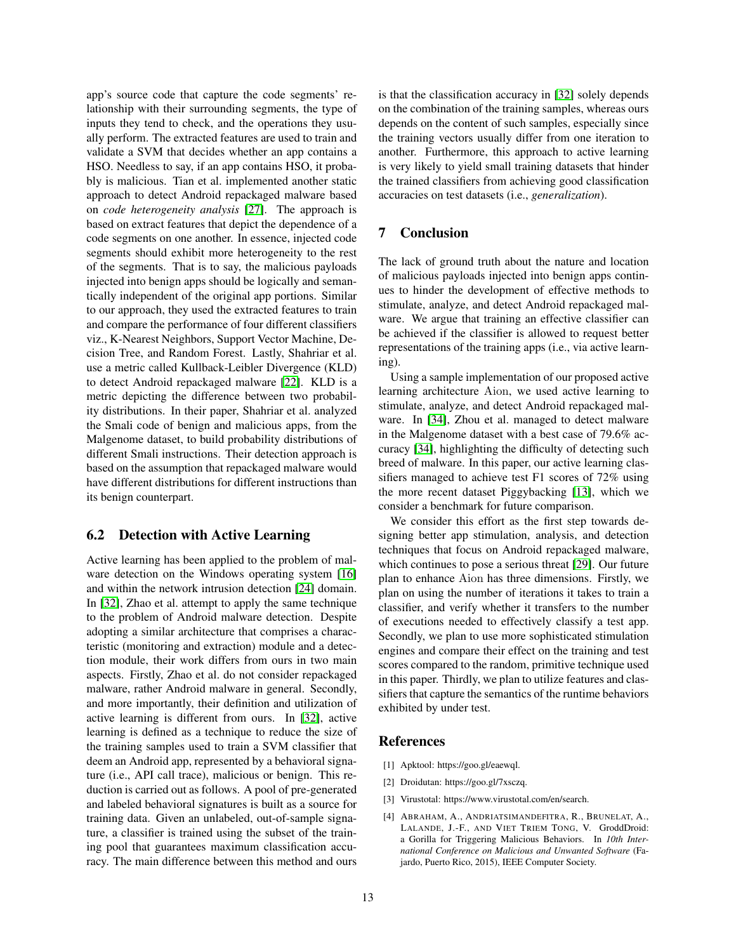app's source code that capture the code segments' relationship with their surrounding segments, the type of inputs they tend to check, and the operations they usually perform. The extracted features are used to train and validate a SVM that decides whether an app contains a HSO. Needless to say, if an app contains HSO, it probably is malicious. Tian et al. implemented another static approach to detect Android repackaged malware based on *code heterogeneity analysis* [\[27\]](#page-13-26). The approach is based on extract features that depict the dependence of a code segments on one another. In essence, injected code segments should exhibit more heterogeneity to the rest of the segments. That is to say, the malicious payloads injected into benign apps should be logically and semantically independent of the original app portions. Similar to our approach, they used the extracted features to train and compare the performance of four different classifiers viz., K-Nearest Neighbors, Support Vector Machine, Decision Tree, and Random Forest. Lastly, Shahriar et al. use a metric called Kullback-Leibler Divergence (KLD) to detect Android repackaged malware [\[22\]](#page-13-27). KLD is a metric depicting the difference between two probability distributions. In their paper, Shahriar et al. analyzed the Smali code of benign and malicious apps, from the Malgenome dataset, to build probability distributions of different Smali instructions. Their detection approach is based on the assumption that repackaged malware would have different distributions for different instructions than its benign counterpart.

# 6.2 Detection with Active Learning

Active learning has been applied to the problem of malware detection on the Windows operating system [\[16\]](#page-13-28) and within the network intrusion detection [\[24\]](#page-13-29) domain. In [\[32\]](#page-13-30), Zhao et al. attempt to apply the same technique to the problem of Android malware detection. Despite adopting a similar architecture that comprises a characteristic (monitoring and extraction) module and a detection module, their work differs from ours in two main aspects. Firstly, Zhao et al. do not consider repackaged malware, rather Android malware in general. Secondly, and more importantly, their definition and utilization of active learning is different from ours. In [\[32\]](#page-13-30), active learning is defined as a technique to reduce the size of the training samples used to train a SVM classifier that deem an Android app, represented by a behavioral signature (i.e., API call trace), malicious or benign. This reduction is carried out as follows. A pool of pre-generated and labeled behavioral signatures is built as a source for training data. Given an unlabeled, out-of-sample signature, a classifier is trained using the subset of the training pool that guarantees maximum classification accuracy. The main difference between this method and ours is that the classification accuracy in [\[32\]](#page-13-30) solely depends on the combination of the training samples, whereas ours depends on the content of such samples, especially since the training vectors usually differ from one iteration to another. Furthermore, this approach to active learning is very likely to yield small training datasets that hinder the trained classifiers from achieving good classification accuracies on test datasets (i.e., *generalization*).

# <span id="page-12-0"></span>7 Conclusion

The lack of ground truth about the nature and location of malicious payloads injected into benign apps continues to hinder the development of effective methods to stimulate, analyze, and detect Android repackaged malware. We argue that training an effective classifier can be achieved if the classifier is allowed to request better representations of the training apps (i.e., via active learning).

Using a sample implementation of our proposed active learning architecture Aion, we used active learning to stimulate, analyze, and detect Android repackaged malware. In [\[34\]](#page-13-6), Zhou et al. managed to detect malware in the Malgenome dataset with a best case of 79.6% accuracy [\[34\]](#page-13-6), highlighting the difficulty of detecting such breed of malware. In this paper, our active learning classifiers managed to achieve test F1 scores of 72% using the more recent dataset Piggybacking [\[13\]](#page-13-1), which we consider a benchmark for future comparison.

We consider this effort as the first step towards designing better app stimulation, analysis, and detection techniques that focus on Android repackaged malware, which continues to pose a serious threat [\[29\]](#page-13-0). Our future plan to enhance Aion has three dimensions. Firstly, we plan on using the number of iterations it takes to train a classifier, and verify whether it transfers to the number of executions needed to effectively classify a test app. Secondly, we plan to use more sophisticated stimulation engines and compare their effect on the training and test scores compared to the random, primitive technique used in this paper. Thirdly, we plan to utilize features and classifiers that capture the semantics of the runtime behaviors exhibited by under test.

### References

- <span id="page-12-1"></span>[1] Apktool: https://goo.gl/eaewql.
- <span id="page-12-3"></span>[2] Droidutan: https://goo.gl/7xsczq.
- <span id="page-12-4"></span>[3] Virustotal: https://www.virustotal.com/en/search.
- <span id="page-12-2"></span>[4] ABRAHAM, A., ANDRIATSIMANDEFITRA, R., BRUNELAT, A., LALANDE, J.-F., AND VIET TRIEM TONG, V. GroddDroid: a Gorilla for Triggering Malicious Behaviors. In *10th International Conference on Malicious and Unwanted Software* (Fajardo, Puerto Rico, 2015), IEEE Computer Society.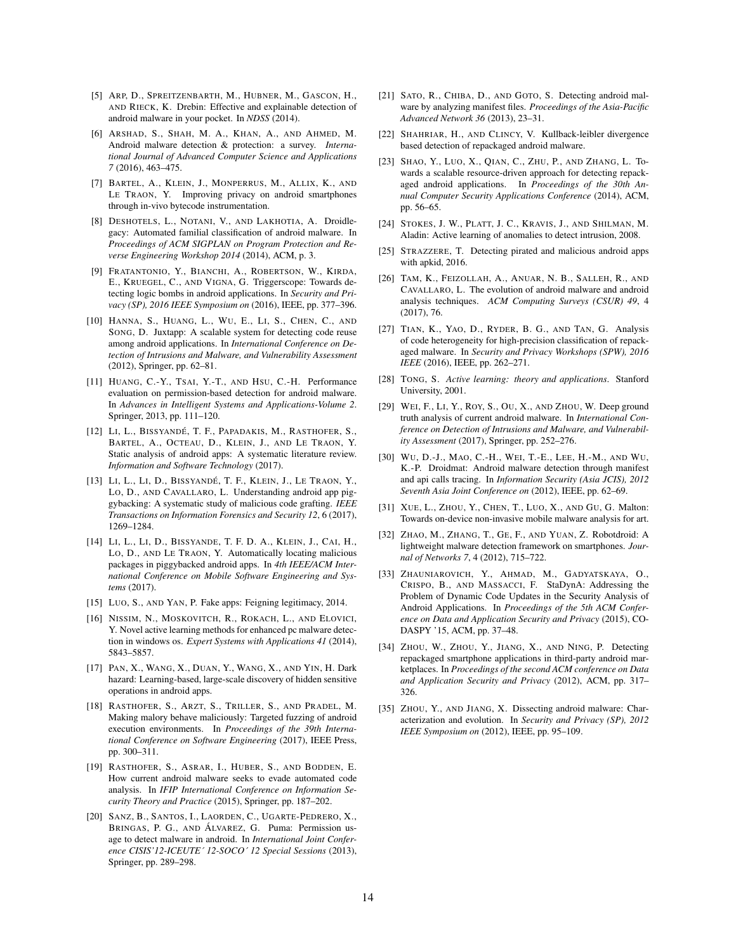- <span id="page-13-21"></span>[5] ARP, D., SPREITZENBARTH, M., HUBNER, M., GASCON, H., AND RIECK, K. Drebin: Effective and explainable detection of android malware in your pocket. In *NDSS* (2014).
- <span id="page-13-9"></span>[6] ARSHAD, S., SHAH, M. A., KHAN, A., AND AHMED, M. Android malware detection & protection: a survey. *International Journal of Advanced Computer Science and Applications 7* (2016), 463–475.
- <span id="page-13-13"></span>[7] BARTEL, A., KLEIN, J., MONPERRUS, M., ALLIX, K., AND LE TRAON, Y. Improving privacy on android smartphones through in-vivo bytecode instrumentation.
- <span id="page-13-25"></span>[8] DESHOTELS, L., NOTANI, V., AND LAKHOTIA, A. Droidlegacy: Automated familial classification of android malware. In *Proceedings of ACM SIGPLAN on Program Protection and Reverse Engineering Workshop 2014* (2014), ACM, p. 3.
- <span id="page-13-7"></span>[9] FRATANTONIO, Y., BIANCHI, A., ROBERTSON, W., KIRDA, E., KRUEGEL, C., AND VIGNA, G. Triggerscope: Towards detecting logic bombs in android applications. In *Security and Privacy (SP), 2016 IEEE Symposium on* (2016), IEEE, pp. 377–396.
- <span id="page-13-24"></span>[10] HANNA, S., HUANG, L., WU, E., LI, S., CHEN, C., AND SONG, D. Juxtapp: A scalable system for detecting code reuse among android applications. In *International Conference on Detection of Intrusions and Malware, and Vulnerability Assessment* (2012), Springer, pp. 62–81.
- <span id="page-13-19"></span>[11] HUANG, C.-Y., TSAI, Y.-T., AND HSU, C.-H. Performance evaluation on permission-based detection for android malware. In *Advances in Intelligent Systems and Applications-Volume 2*. Springer, 2013, pp. 111–120.
- <span id="page-13-10"></span>[12] LI, L., BISSYANDÉ, T. F., PAPADAKIS, M., RASTHOFER, S., BARTEL, A., OCTEAU, D., KLEIN, J., AND LE TRAON, Y. Static analysis of android apps: A systematic literature review. *Information and Software Technology* (2017).
- <span id="page-13-1"></span>[13] LI, L., LI, D., BISSYANDÉ, T. F., KLEIN, J., LE TRAON, Y., LO, D., AND CAVALLARO, L. Understanding android app piggybacking: A systematic study of malicious code grafting. *IEEE Transactions on Information Forensics and Security 12*, 6 (2017), 1269–1284.
- <span id="page-13-5"></span>[14] LI, L., LI, D., BISSYANDE, T. F. D. A., KLEIN, J., CAI, H., LO, D., AND LE TRAON, Y. Automatically locating malicious packages in piggybacked android apps. In *4th IEEE/ACM International Conference on Mobile Software Engineering and Systems* (2017).
- <span id="page-13-8"></span>[15] LUO, S., AND YAN, P. Fake apps: Feigning legitimacy, 2014.
- <span id="page-13-28"></span>[16] NISSIM, N., MOSKOVITCH, R., ROKACH, L., AND ELOVICI, Y. Novel active learning methods for enhanced pc malware detection in windows os. *Expert Systems with Applications 41* (2014), 5843–5857.
- <span id="page-13-2"></span>[17] PAN, X., WANG, X., DUAN, Y., WANG, X., AND YIN, H. Dark hazard: Learning-based, large-scale discovery of hidden sensitive operations in android apps.
- <span id="page-13-11"></span>[18] RASTHOFER, S., ARZT, S., TRILLER, S., AND PRADEL, M. Making malory behave maliciously: Targeted fuzzing of android execution environments. In *Proceedings of the 39th International Conference on Software Engineering* (2017), IEEE Press, pp. 300–311.
- <span id="page-13-14"></span>[19] RASTHOFER, S., ASRAR, I., HUBER, S., AND BODDEN, E. How current android malware seeks to evade automated code analysis. In *IFIP International Conference on Information Security Theory and Practice* (2015), Springer, pp. 187–202.
- <span id="page-13-18"></span>[20] SANZ, B., SANTOS, I., LAORDEN, C., UGARTE-PEDRERO, X., BRINGAS, P. G., AND ÁLVAREZ, G. Puma: Permission usage to detect malware in android. In *International Joint Conference CISIS'12-ICEUTE´ 12-SOCO´ 12 Special Sessions* (2013), Springer, pp. 289–298.
- <span id="page-13-17"></span>[21] SATO, R., CHIBA, D., AND GOTO, S. Detecting android malware by analyzing manifest files. *Proceedings of the Asia-Pacific Advanced Network 36* (2013), 23–31.
- <span id="page-13-27"></span>[22] SHAHRIAR, H., AND CLINCY, V. Kullback-leibler divergence based detection of repackaged android malware.
- <span id="page-13-23"></span>[23] SHAO, Y., LUO, X., QIAN, C., ZHU, P., AND ZHANG, L. Towards a scalable resource-driven approach for detecting repackaged android applications. In *Proceedings of the 30th Annual Computer Security Applications Conference* (2014), ACM, pp. 56–65.
- <span id="page-13-29"></span>[24] STOKES, J. W., PLATT, J. C., KRAVIS, J., AND SHILMAN, M. Aladin: Active learning of anomalies to detect intrusion, 2008.
- <span id="page-13-22"></span>[25] STRAZZERE, T. Detecting pirated and malicious android apps with apkid, 2016.
- <span id="page-13-3"></span>[26] TAM, K., FEIZOLLAH, A., ANUAR, N. B., SALLEH, R., AND CAVALLARO, L. The evolution of android malware and android analysis techniques. *ACM Computing Surveys (CSUR) 49*, 4 (2017), 76.
- <span id="page-13-26"></span>[27] TIAN, K., YAO, D., RYDER, B. G., AND TAN, G. Analysis of code heterogeneity for high-precision classification of repackaged malware. In *Security and Privacy Workshops (SPW), 2016 IEEE* (2016), IEEE, pp. 262–271.
- <span id="page-13-15"></span>[28] TONG, S. *Active learning: theory and applications*. Stanford University, 2001.
- <span id="page-13-0"></span>[29] WEI, F., LI, Y., ROY, S., OU, X., AND ZHOU, W. Deep ground truth analysis of current android malware. In *International Conference on Detection of Intrusions and Malware, and Vulnerability Assessment* (2017), Springer, pp. 252–276.
- <span id="page-13-20"></span>[30] WU, D.-J., MAO, C.-H., WEI, T.-E., LEE, H.-M., AND WU, K.-P. Droidmat: Android malware detection through manifest and api calls tracing. In *Information Security (Asia JCIS), 2012 Seventh Asia Joint Conference on* (2012), IEEE, pp. 62–69.
- <span id="page-13-16"></span>[31] XUE, L., ZHOU, Y., CHEN, T., LUO, X., AND GU, G. Malton: Towards on-device non-invasive mobile malware analysis for art.
- <span id="page-13-30"></span>[32] ZHAO, M., ZHANG, T., GE, F., AND YUAN, Z. Robotdroid: A lightweight malware detection framework on smartphones. *Journal of Networks 7*, 4 (2012), 715–722.
- <span id="page-13-12"></span>[33] ZHAUNIAROVICH, Y., AHMAD, M., GADYATSKAYA, O., CRISPO, B., AND MASSACCI, F. StaDynA: Addressing the Problem of Dynamic Code Updates in the Security Analysis of Android Applications. In *Proceedings of the 5th ACM Conference on Data and Application Security and Privacy* (2015), CO-DASPY '15, ACM, pp. 37–48.
- <span id="page-13-6"></span>[34] ZHOU, W., ZHOU, Y., JIANG, X., AND NING, P. Detecting repackaged smartphone applications in third-party android marketplaces. In *Proceedings of the second ACM conference on Data and Application Security and Privacy* (2012), ACM, pp. 317– 326.
- <span id="page-13-4"></span>[35] ZHOU, Y., AND JIANG, X. Dissecting android malware: Characterization and evolution. In *Security and Privacy (SP), 2012 IEEE Symposium on* (2012), IEEE, pp. 95–109.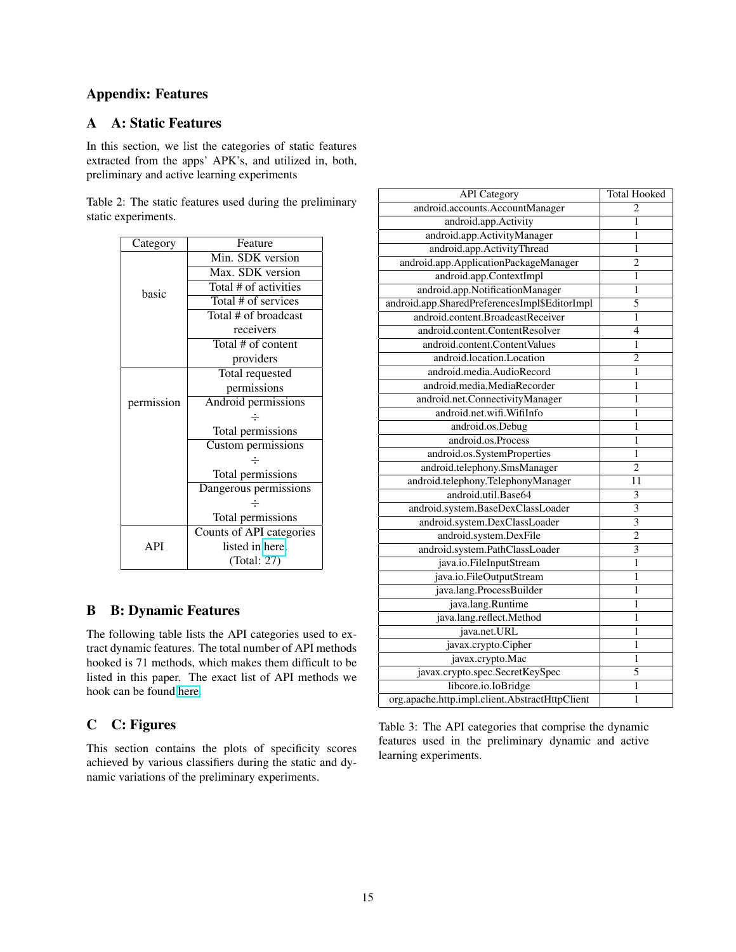# Appendix: Features

# <span id="page-14-0"></span>A A: Static Features

In this section, we list the categories of static features extracted from the apps' APK's, and utilized in, both, preliminary and active learning experiments

Table 2: The static features used during the preliminary static experiments.

| Category   | Feature                  |  |  |
|------------|--------------------------|--|--|
|            | Min. SDK version         |  |  |
|            | Max. SDK version         |  |  |
| basic      | Total # of activities    |  |  |
|            | Total # of services      |  |  |
|            | Total # of broadcast     |  |  |
|            | receivers                |  |  |
|            | Total # of content       |  |  |
|            | providers                |  |  |
|            | Total requested          |  |  |
|            | permissions              |  |  |
| permission | Android permissions      |  |  |
|            | ÷                        |  |  |
|            | Total permissions        |  |  |
|            | Custom permissions       |  |  |
|            |                          |  |  |
|            | Total permissions        |  |  |
|            | Dangerous permissions    |  |  |
|            |                          |  |  |
|            | Total permissions        |  |  |
|            | Counts of API categories |  |  |
| API        | listed in here.          |  |  |
|            | (Total: 27)              |  |  |

# <span id="page-14-1"></span>B B: Dynamic Features

The following table lists the API categories used to extract dynamic features. The total number of API methods hooked is 71 methods, which makes them difficult to be listed in this paper. The exact list of API methods we hook can be found [here.](https://aionexperiments.github.io/results/hooks.json)

# <span id="page-14-2"></span>C C: Figures

This section contains the plots of specificity scores achieved by various classifiers during the static and dynamic variations of the preliminary experiments.

| <b>API</b> Category                            | <b>Total Hooked</b>       |
|------------------------------------------------|---------------------------|
| android.accounts.AccountManager                | 2                         |
| android.app.Activity                           | 1                         |
| android.app.ActivityManager                    | 1                         |
| android.app.ActivityThread                     | 1                         |
| android.app.ApplicationPackageManager          | 2                         |
| android.app.ContextImpl                        | $\mathbf{1}$              |
| android.app.NotificationManager                | 1                         |
| android.app.SharedPreferencesImpl\$EditorImpl  | 5                         |
| android.content.BroadcastReceiver              | $\mathbf{1}$              |
| android.content.ContentResolver                | $\overline{4}$            |
| android.content.ContentValues                  | 1                         |
| android.location.Location                      | $\overline{c}$            |
| android.media.AudioRecord                      | $\mathbf{1}$              |
| android.media.MediaRecorder                    | $\mathbf{1}$              |
| android.net.ConnectivityManager                | $\mathbf{1}$              |
| android.net.wifi.WifiInfo                      | $\mathbf{1}$              |
| android.os.Debug                               | $\mathbf{1}$              |
| android.os.Process                             | 1                         |
| android.os.SystemProperties                    | 1                         |
| android.telephony.SmsManager                   | $\overline{c}$            |
| android.telephony.TelephonyManager             | 11                        |
| android.util.Base64                            | $\overline{\mathbf{3}}$   |
| android.system.BaseDexClassLoader              | $\overline{\mathbf{3}}$   |
| android.system.DexClassLoader                  | $\overline{\overline{3}}$ |
| android.system.DexFile                         | $\overline{2}$            |
| android.system.PathClassLoader                 | $\overline{\mathbf{3}}$   |
| java.io.FileInputStream                        | $\overline{1}$            |
| java.io.FileOutputStream                       | 1                         |
| java.lang.ProcessBuilder                       | 1                         |
| java.lang.Runtime                              | 1                         |
| java.lang.reflect.Method                       | 1                         |
| java.net.URL                                   | 1                         |
| javax.crypto.Cipher                            | 1                         |
| javax.crypto.Mac                               | 1                         |
| javax.crypto.spec.SecretKeySpec                | $\overline{5}$            |
| libcore.io.IoBridge                            | $\mathbf{1}$              |
| org.apache.http.impl.client.AbstractHttpClient | 1                         |

Table 3: The API categories that comprise the dynamic features used in the preliminary dynamic and active learning experiments.